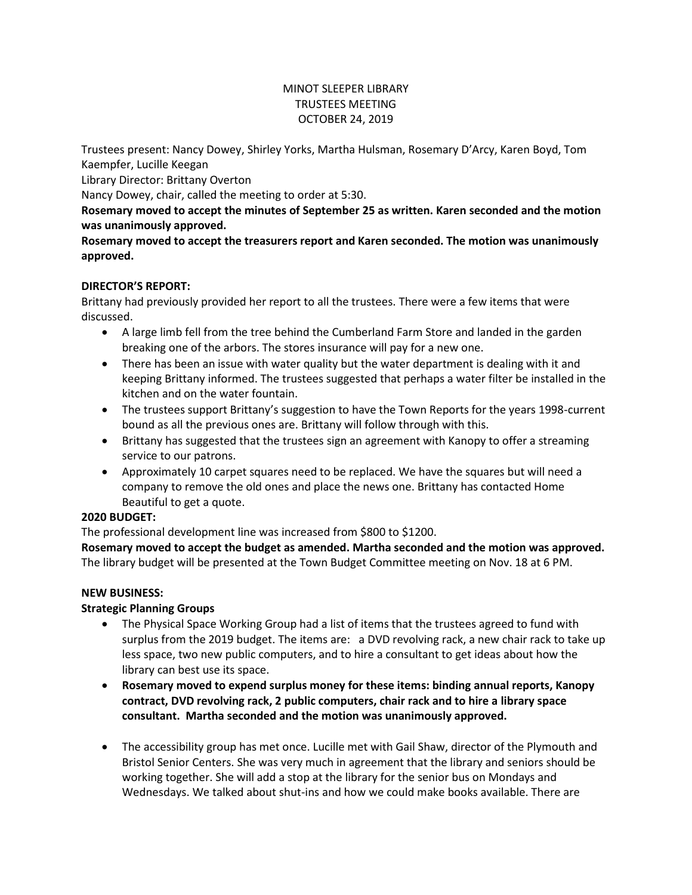# MINOT SLEEPER LIBRARY TRUSTEES MEETING OCTOBER 24, 2019

Trustees present: Nancy Dowey, Shirley Yorks, Martha Hulsman, Rosemary D'Arcy, Karen Boyd, Tom Kaempfer, Lucille Keegan

Library Director: Brittany Overton

Nancy Dowey, chair, called the meeting to order at 5:30.

**Rosemary moved to accept the minutes of September 25 as written. Karen seconded and the motion was unanimously approved.**

**Rosemary moved to accept the treasurers report and Karen seconded. The motion was unanimously approved.**

# **DIRECTOR'S REPORT:**

Brittany had previously provided her report to all the trustees. There were a few items that were discussed.

- A large limb fell from the tree behind the Cumberland Farm Store and landed in the garden breaking one of the arbors. The stores insurance will pay for a new one.
- There has been an issue with water quality but the water department is dealing with it and keeping Brittany informed. The trustees suggested that perhaps a water filter be installed in the kitchen and on the water fountain.
- The trustees support Brittany's suggestion to have the Town Reports for the years 1998-current bound as all the previous ones are. Brittany will follow through with this.
- Brittany has suggested that the trustees sign an agreement with Kanopy to offer a streaming service to our patrons.
- Approximately 10 carpet squares need to be replaced. We have the squares but will need a company to remove the old ones and place the news one. Brittany has contacted Home Beautiful to get a quote.

# **2020 BUDGET:**

The professional development line was increased from \$800 to \$1200.

**Rosemary moved to accept the budget as amended. Martha seconded and the motion was approved.** The library budget will be presented at the Town Budget Committee meeting on Nov. 18 at 6 PM.

# **NEW BUSINESS:**

# **Strategic Planning Groups**

- The Physical Space Working Group had a list of items that the trustees agreed to fund with surplus from the 2019 budget. The items are: a DVD revolving rack, a new chair rack to take up less space, two new public computers, and to hire a consultant to get ideas about how the library can best use its space.
- **Rosemary moved to expend surplus money for these items: binding annual reports, Kanopy contract, DVD revolving rack, 2 public computers, chair rack and to hire a library space consultant. Martha seconded and the motion was unanimously approved.**
- The accessibility group has met once. Lucille met with Gail Shaw, director of the Plymouth and Bristol Senior Centers. She was very much in agreement that the library and seniors should be working together. She will add a stop at the library for the senior bus on Mondays and Wednesdays. We talked about shut-ins and how we could make books available. There are